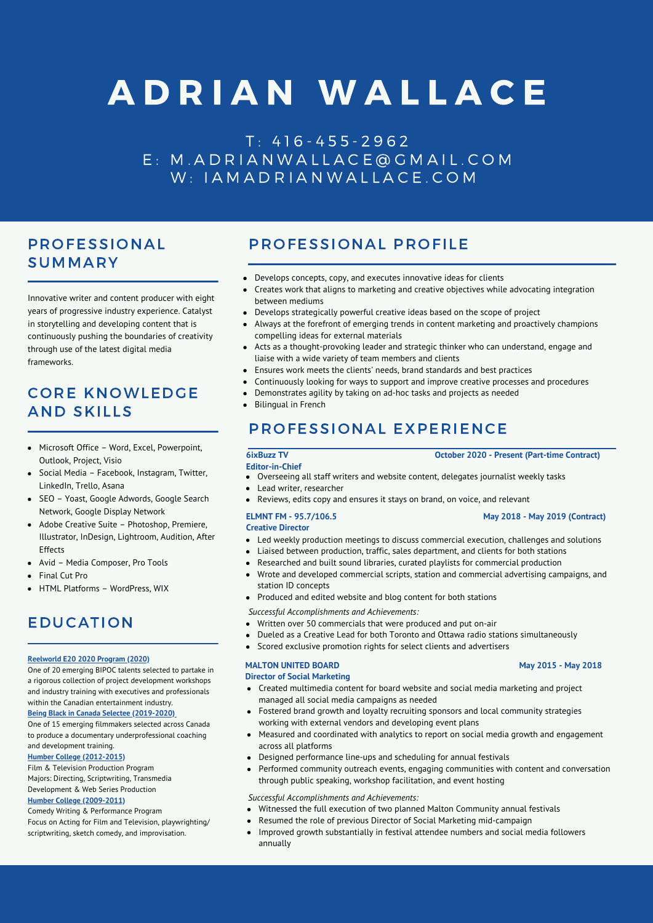# A D R I A N W A L L A C E

T : 4 1 6 - 4 5 5 - 2 9 6 2 E : M . A D R I A N W A L L A C E @ G M A I L . C O M W: IA M A D R I A N W A L L A C E . C O M

# PROFESSIONAL SUMMARY

Innovative writer and content producer with eight years of progressive industry experience. Catalyst in storytelling and developing content that is continuously pushing the boundaries of creativity through use of the latest digital media frameworks

# CORE KNOWLEDGE AND SKILLS

- Microsoft Office Word, Excel, Powerpoint, Outlook, Project, Visio
- Social Media Facebook, Instagram, Twitter, LinkedIn, Trello, Asana
- SEO Yoast, Google Adwords, Google Search Network, Google Display Network
- Adobe Creative Suite Photoshop, Premiere, Illustrator, InDesign, Lightroom, Audition, After Effects
- Avid Media Composer, Pro Tools
- Final Cut Pro
- HTML Platforms WordPress, WIX

# EDUCATION

### **Reelworld E20 2020 Program (2020)**

One of 20 emerging BIPOC talents selected to partake in a rigorous collection of project development workshops and industry training with executives and professionals within the Canadian entertainment industry.

**Being Black in Canada Selectee (2019-2020)**

One of 15 emerging filmmakers selected across Canada to produce a documentary underprofessional coaching and development training.

### **Humber College (2012-2015)**

Film & Television Production Program Majors: Directing, Scriptwriting, Transmedia Development & Web Series Production **Humber College (2009-2011)**

Comedy Writing & Performance Program

Focus on Acting for Film and Television, playwrighting/ scriptwriting, sketch comedy, and improvisation.

# PROFESSIONAL PROFILE

- Develops concepts, copy, and executes innovative ideas for clients
- Creates work that aligns to marketing and creative objectives while advocating integration between mediums
- Develops strategically powerful creative ideas based on the scope of project
- Always at the forefront of emerging trends in content marketing and proactively champions compelling ideas for external materials
- Acts as a thought-provoking leader and strategic thinker who can understand, engage and liaise with a wide variety of team members and clients
- Ensures work meets the clients' needs, brand standards and best practices
- Continuously looking for ways to support and improve creative processes and procedures
- Demonstrates agility by taking on ad-hoc tasks and projects as needed
- Bilingual in French

# PROFESSIONAL EXPERIENCE

- **Editor-in-Chief** Overseeing all staff writers and website content, delegates journalist weekly tasks
- Lead writer, researcher
- Reviews, edits copy and ensures it stays on brand, on voice, and relevant

### **ELMNT FM - 95.7/106.5 May 2018 - May 2019 (Contract) Creative Director**

- Led weekly production meetings to discuss commercial execution, challenges and solutions
- Liaised between production, traffic, sales department, and clients for both stations
- Researched and built sound libraries, curated playlists for commercial production
- Wrote and developed commercial scripts, station and commercial advertising campaigns, and station ID concepts
- Produced and edited website and blog content for both stations
- *Successful Accomplishments and Achievements:*
- Written over 50 commercials that were produced and put on-air
- Dueled as a Creative Lead for both Toronto and Ottawa radio stations simultaneously
- Scored exclusive promotion rights for select clients and advertisers

### **MALTON UNITED BOARD May 2015 - May 2018**

### **Director of Social Marketing**

- Created multimedia content for board website and social media marketing and project managed all social media campaigns as needed
- Fostered brand growth and loyalty recruiting sponsors and local community strategies working with external vendors and developing event plans
- Measured and coordinated with analytics to report on social media growth and engagement across all platforms
- Designed performance line-ups and scheduling for annual festivals
- Performed community outreach events, engaging communities with content and conversation through public speaking, workshop facilitation, and event hosting

### *Successful Accomplishments and Achievements:*

- Witnessed the full execution of two planned Malton Community annual festivals
- Resumed the role of previous Director of Social Marketing mid-campaign
- Improved growth substantially in festival attendee numbers and social media followers  $\bullet$ annually

### **6ixBuzz TV October 2020 - Present (Part-time Contract)**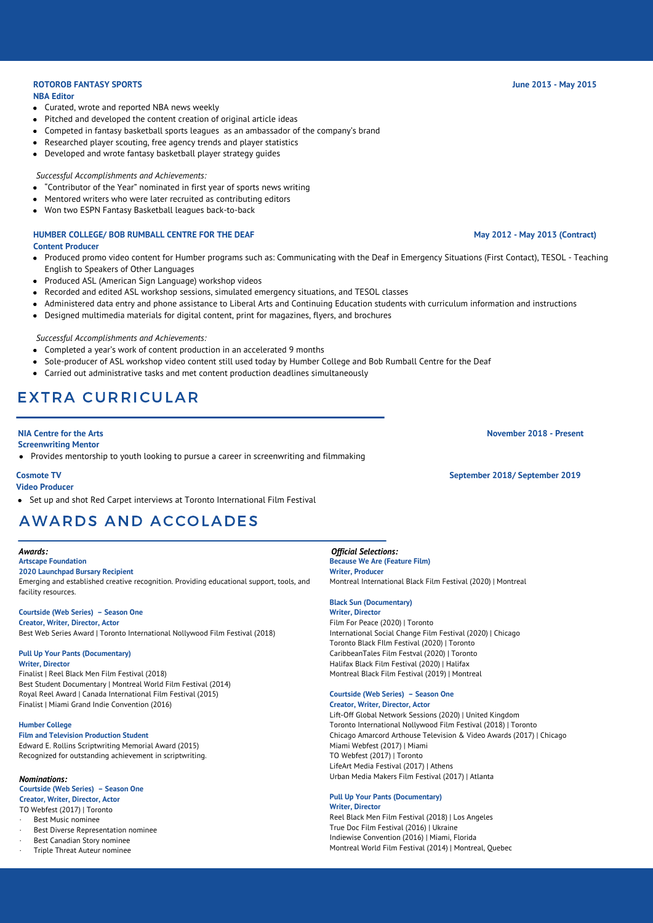### **ROTOROB FANTASY SPORTS June 2013 - May 2015**

### **NBA Editor**

- Curated, wrote and reported NBA news weekly
- Pitched and developed the content creation of original article ideas
- Competed in fantasy basketball sports leagues as an ambassador of the company's brand
- Researched player scouting, free agency trends and player statistics
- Developed and wrote fantasy basketball player strategy guides

### *Successful Accomplishments and Achievements:*

- "Contributor of the Year" nominated in first year of sports news writing
- Mentored writers who were later recruited as contributing editors
- Won two ESPN Fantasy Basketball leagues back-to-back

### **HUMBER COLLEGE/ BOB RUMBALL CENTRE FOR THE DEAF May 2012 - May 2013 (Contract) Content Producer**

- Produced promo video content for Humber programs such as: Communicating with the Deaf in Emergency Situations (First Contact), TESOL Teaching English to Speakers of Other Languages
- Produced ASL (American Sign Language) workshop videos
- Recorded and edited ASL workshop sessions, simulated emergency situations, and TESOL classes
- Administered data entry and phone assistance to Liberal Arts and Continuing Education students with curriculum information and instructions
- Designed multimedia materials for digital content, print for magazines, flyers, and brochures

### *Successful Accomplishments and Achievements:*

- Completed a year's work of content production in an accelerated 9 months
- Sole-producer of ASL workshop video content still used today by Humber College and Bob Rumball Centre for the Deaf
- Carried out administrative tasks and met content production deadlines simultaneously

# EXTRA CURRICULAR

### **Screenwriting Mentor**

Provides mentorship to youth looking to pursue a career in screenwriting and filmmaking

### **Video Producer**

Set up and shot Red Carpet interviews at Toronto International Film Festival

# AWARDS AND ACCOLADES

### *Awards:*

### **Artscape Foundation**

**2020 Launchpad Bursary Recipient** Emerging and established creative recognition. Providing educational support, tools, and facility resources.

### **Courtside (Web Series) – Season One**

**Creator, Writer, Director, Actor** Best Web Series Award | Toronto International Nollywood Film Festival (2018)

### **Pull Up Your Pants (Documentary)**

**Writer, Director**

Finalist | Reel Black Men Film Festival (2018) Best Student Documentary | Montreal World Film Festival (2014) Royal Reel Award | Canada International Film Festival (2015) Finalist | Miami Grand Indie Convention (2016)

### **Humber College**

### **Film and Television Production Student**

Edward E. Rollins Scriptwriting Memorial Award (2015) Recognized for outstanding achievement in scriptwriting.

### *Nominations:*

### **Courtside (Web Series) – Season One Creator, Writer, Director, Actor**

- TO Webfest (2017) | Toronto Best Music nominee
- Best Diverse Representation nominee
- Best Canadian Story nominee
- · Triple Threat Auteur nominee

### *Official Selections:*

**Because We Are (Feature Film) Writer, Producer** Montreal International Black Film Festival (2020) | Montreal

### **Black Sun (Documentary)**

**Writer, Director** Film For Peace (2020) | Toronto International Social Change Film Festival (2020) | Chicago Toronto Black FIlm Festival (2020) | Toronto CaribbeanTales Film Festval (2020) | Toronto Halifax Black Film Festival (2020) | Halifax Montreal Black Film Festival (2019) | Montreal

### **Courtside (Web Series) – Season One Creator, Writer, Director, Actor**

Lift-Off Global Network Sessions (2020) | United Kingdom Toronto International Nollywood Film Festival (2018) | Toronto Chicago Amarcord Arthouse Television & Video Awards (2017) | Chicago Miami Webfest (2017) | Miami TO Webfest (2017) | Toronto LifeArt Media Festival (2017) | Athens Urban Media Makers Film Festival (2017) | Atlanta

### **Pull Up Your Pants (Documentary) Writer, Director**

Reel Black Men Film Festival (2018) | Los Angeles True Doc Film Festival (2016) | Ukraine Indiewise Convention (2016) | Miami, Florida Montreal World Film Festival (2014) | Montreal, Quebec

**NIA Centre for the Arts November 2018 - Present**

**Cosmote TV September 2018/ September 2019**